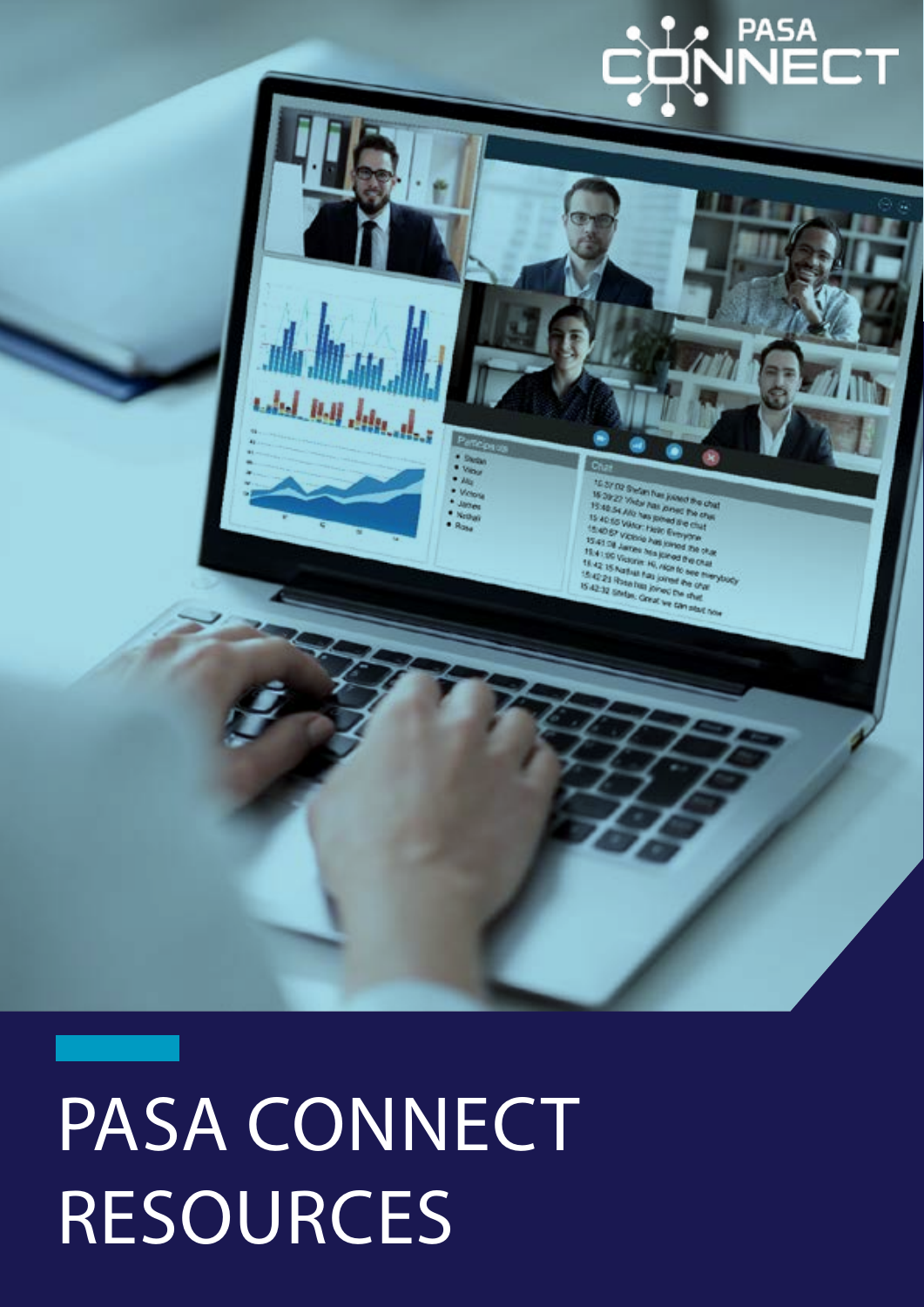

# PASA CONNECT RESOURCES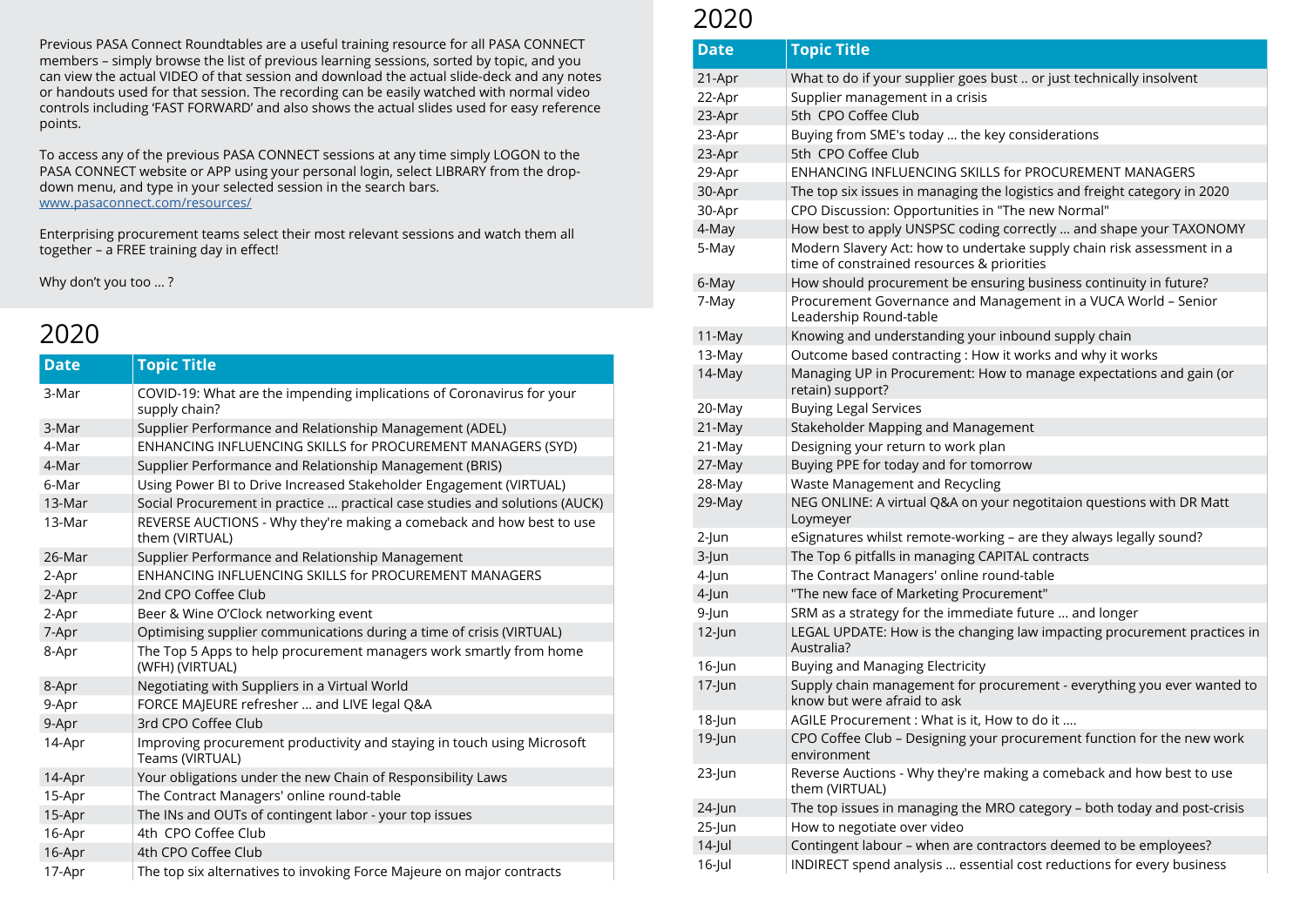| <b>Date</b> | <b>Topic Title</b>                                                                         |
|-------------|--------------------------------------------------------------------------------------------|
| 3-Mar       | COVID-19: What are the impending implications of Coronavirus for your<br>supply chain?     |
| 3-Mar       | Supplier Performance and Relationship Management (ADEL)                                    |
| 4-Mar       | ENHANCING INFLUENCING SKILLS for PROCUREMENT MANAGERS (SYD)                                |
| 4-Mar       | Supplier Performance and Relationship Management (BRIS)                                    |
| 6-Mar       | Using Power BI to Drive Increased Stakeholder Engagement (VIRTUAL)                         |
| 13-Mar      | Social Procurement in practice  practical case studies and solutions (AUCK)                |
| 13-Mar      | REVERSE AUCTIONS - Why they're making a comeback and how best to use<br>them (VIRTUAL)     |
| 26-Mar      | Supplier Performance and Relationship Management                                           |
| 2-Apr       | ENHANCING INFLUENCING SKILLS for PROCUREMENT MANAGERS                                      |
| 2-Apr       | 2nd CPO Coffee Club                                                                        |
| 2-Apr       | Beer & Wine O'Clock networking event                                                       |
| 7-Apr       | Optimising supplier communications during a time of crisis (VIRTUAL)                       |
| 8-Apr       | The Top 5 Apps to help procurement managers work smartly from home<br>(WFH) (VIRTUAL)      |
| 8-Apr       | Negotiating with Suppliers in a Virtual World                                              |
| 9-Apr       | FORCE MAJEURE refresher  and LIVE legal Q&A                                                |
| 9-Apr       | 3rd CPO Coffee Club                                                                        |
| 14-Apr      | Improving procurement productivity and staying in touch using Microsoft<br>Teams (VIRTUAL) |
| 14-Apr      | Your obligations under the new Chain of Responsibility Laws                                |
| 15-Apr      | The Contract Managers' online round-table                                                  |
| 15-Apr      | The INs and OUTs of contingent labor - your top issues                                     |
| 16-Apr      | 4th CPO Coffee Club                                                                        |
| 16-Apr      | 4th CPO Coffee Club                                                                        |
| 17-Apr      | The top six alternatives to invoking Force Majeure on major contracts                      |

| <b>Date</b> | <b>Topic Title</b>                                                      |
|-------------|-------------------------------------------------------------------------|
| 21-Apr      | What to do if your supplier goes bu                                     |
| 22-Apr      | Supplier management in a crisis                                         |
| 23-Apr      | 5th CPO Coffee Club                                                     |
| 23-Apr      | Buying from SME's today  the key                                        |
| 23-Apr      | 5th CPO Coffee Club                                                     |
| 29-Apr      | <b>ENHANCING INFLUENCING SKILLS</b>                                     |
| 30-Apr      | The top six issues in managing the                                      |
| 30-Apr      | CPO Discussion: Opportunities in "                                      |
| 4-May       | How best to apply UNSPSC coding                                         |
| 5-May       | Modern Slavery Act: how to undert<br>time of constrained resources & pr |
| 6-May       | How should procurement be ensur                                         |
| 7-May       | Procurement Governance and Man<br>Leadership Round-table                |
| 11-May      | Knowing and understanding your ii                                       |
| 13-May      | Outcome based contracting: How i                                        |
| 14-May      | Managing UP in Procurement: How<br>retain) support?                     |
| 20-May      | <b>Buying Legal Services</b>                                            |
| 21-May      | <b>Stakeholder Mapping and Manager</b>                                  |
| 21-May      | Designing your return to work plan                                      |
| 27-May      | Buying PPE for today and for tomor                                      |
| 28-May      | Waste Management and Recycling                                          |
| 29-May      | NEG ONLINE: A virtual Q&A on you<br>Loymeyer                            |
| $2$ -Jun    | eSignatures whilst remote-working                                       |
| 3-Jun       | The Top 6 pitfalls in managing CAPI                                     |
| 4-Jun       | The Contract Managers' online roul                                      |
| 4-Jun       | "The new face of Marketing Procur                                       |
| 9-Jun       | SRM as a strategy for the immediat                                      |
| $12$ -Jun   | LEGAL UPDATE: How is the changin<br>Australia?                          |
| $16$ -Jun   | <b>Buying and Managing Electricity</b>                                  |
| $17$ -Jun   | Supply chain management for prod<br>know but were afraid to ask         |
| $18$ -Jun   | AGILE Procurement: What is it, Hov                                      |
| $19$ -Jun   | CPO Coffee Club - Designing your p<br>environment                       |
| $23$ -Jun   | Reverse Auctions - Why they're mal<br>them (VIRTUAL)                    |
| $24$ -Jun   | The top issues in managing the MR                                       |
| $25$ -Jun   | How to negotiate over video                                             |
| $14$ -Jul   | Contingent labour - when are conti                                      |
| $16$ -Jul   | INDIRECT spend analysis  essentia                                       |

 $25$  bust .. or just technically insolvent

key considerations

LLS for PROCUREMENT MANAGERS

the logistics and freight category in 2020 in "The new Normal"

ing correctly … and shape your TAXONOMY dertake supply chain risk assessment in a **k** priorities

Isuring business continuity in future? Management in a VUCA World – Senior

ur inbound supply chain ow it works and why it works How to manage expectations and gain (or

agement

morrow

your negotitaion questions with DR Matt

 $2\sin\theta$  – are they always legally sound?

**CAPITAL contracts** 

round-table

curement"

diate future ... and longer

nging law impacting procurement practices in

17-Jun Supply Supply chain supply chained to

How to do it  $\ldots$ 

ur procurement function for the new work

making a comeback and how best to use

MRO category – both today and post-crisis

ontractors deemed to be employees? ential cost reductions for every business

### 2020

### 2020

Previous PASA Connect Roundtables are a useful training resource for all PASA CONNECT members – simply browse the list of previous learning sessions, sorted by topic, and you can view the actual VIDEO of that session and download the actual slide-deck and any notes or handouts used for that session. The recording can be easily watched with normal video controls including 'FAST FORWARD' and also shows the actual slides used for easy reference points.

To access any of the previous PASA CONNECT sessions at any time simply LOGON to the PASA CONNECT website or APP using your personal login, select LIBRARY from the dropdown menu, and type in your selected session in the search bars. <www.pasaconnect.com/resources/>

Enterprising procurement teams select their most relevant sessions and watch them all together – a FREE training day in effect!

Why don't you too … ?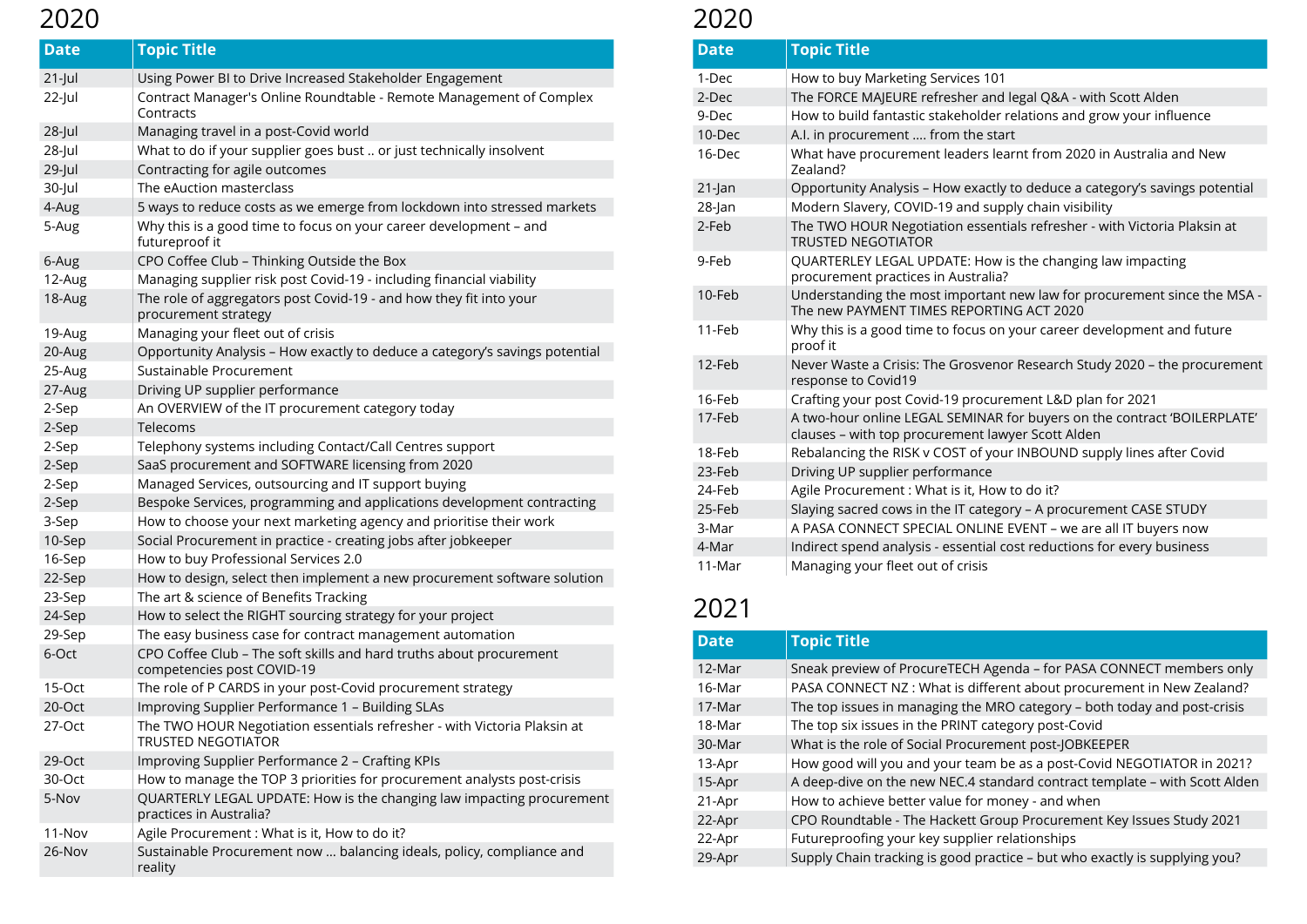| <b>Date</b> | <b>Topic Title</b>                                                                                    |
|-------------|-------------------------------------------------------------------------------------------------------|
| $21$ -Jul   | Using Power BI to Drive Increased Stakeholder Engagement                                              |
| $22$ -Jul   | Contract Manager's Online Roundtable - Remote Management of Complex<br>Contracts                      |
| $28$ -Jul   | Managing travel in a post-Covid world                                                                 |
| $28$ -Jul   | What to do if your supplier goes bust  or just technically insolvent                                  |
| $29$ -Jul   | Contracting for agile outcomes                                                                        |
| 30-Jul      | The eAuction masterclass                                                                              |
| 4-Aug       | 5 ways to reduce costs as we emerge from lockdown into stressed markets                               |
| 5-Aug       | Why this is a good time to focus on your career development - and<br>futureproof it                   |
| 6-Aug       | CPO Coffee Club - Thinking Outside the Box                                                            |
| 12-Aug      | Managing supplier risk post Covid-19 - including financial viability                                  |
| 18-Aug      | The role of aggregators post Covid-19 - and how they fit into your<br>procurement strategy            |
| 19-Aug      | Managing your fleet out of crisis                                                                     |
| 20-Aug      | Opportunity Analysis - How exactly to deduce a category's savings potential                           |
| 25-Aug      | Sustainable Procurement                                                                               |
| 27-Aug      | Driving UP supplier performance                                                                       |
| 2-Sep       | An OVERVIEW of the IT procurement category today                                                      |
| 2-Sep       | Telecoms                                                                                              |
| 2-Sep       | Telephony systems including Contact/Call Centres support                                              |
| 2-Sep       | SaaS procurement and SOFTWARE licensing from 2020                                                     |
| 2-Sep       | Managed Services, outsourcing and IT support buying                                                   |
| 2-Sep       | Bespoke Services, programming and applications development contracting                                |
| 3-Sep       | How to choose your next marketing agency and prioritise their work                                    |
| 10-Sep      | Social Procurement in practice - creating jobs after jobkeeper                                        |
| 16-Sep      | How to buy Professional Services 2.0                                                                  |
| 22-Sep      | How to design, select then implement a new procurement software solution                              |
| 23-Sep      | The art & science of Benefits Tracking                                                                |
| 24-Sep      | How to select the RIGHT sourcing strategy for your project                                            |
| 29-Sep      | The easy business case for contract management automation                                             |
| 6-Oct       | CPO Coffee Club - The soft skills and hard truths about procurement<br>competencies post COVID-19     |
| 15-Oct      | The role of P CARDS in your post-Covid procurement strategy                                           |
| 20-Oct      | Improving Supplier Performance 1 - Building SLAs                                                      |
| 27-Oct      | The TWO HOUR Negotiation essentials refresher - with Victoria Plaksin at<br><b>TRUSTED NEGOTIATOR</b> |
| 29-Oct      | Improving Supplier Performance 2 - Crafting KPIs                                                      |
| 30-Oct      | How to manage the TOP 3 priorities for procurement analysts post-crisis                               |
| 5-Nov       | QUARTERLY LEGAL UPDATE: How is the changing law impacting procurement<br>practices in Australia?      |
| $11-Nov$    | Agile Procurement : What is it, How to do it?                                                         |
| 26-Nov      | Sustainable Procurement now  balancing ideals, policy, compliance and<br>reality                      |

| <b>Date</b> | <b>Topic Title</b>                                                            |
|-------------|-------------------------------------------------------------------------------|
| 1-Dec       | How to buy Marketing Services 101                                             |
| 2-Dec       | The FORCE MAJEURE refresher and le                                            |
| 9-Dec       | How to build fantastic stakeholder re                                         |
| 10-Dec      | A.I. in procurement  from the start                                           |
| 16-Dec      | What have procurement leaders lear<br>Zealand?                                |
| 21-Jan      | Opportunity Analysis - How exactly t                                          |
| $28$ -Jan   | Modern Slavery, COVID-19 and supp                                             |
| 2-Feb       | The TWO HOUR Negotiation essentia<br><b>TRUSTED NEGOTIATOR</b>                |
| 9-Feb       | <b>QUARTERLEY LEGAL UPDATE: How is</b><br>procurement practices in Australia? |
| 10-Feb      | Understanding the most important r<br>The new PAYMENT TIMES REPORTIN          |
| 11-Feb      | Why this is a good time to focus on y<br>proof it                             |
| 12-Feb      | Never Waste a Crisis: The Grosvenor<br>response to Covid19                    |
| 16-Feb      | Crafting your post Covid-19 procurer                                          |
| 17-Feb      | A two-hour online LEGAL SEMINAR fo<br>clauses - with top procurement lawy     |
| 18-Feb      | Rebalancing the RISK v COST of your                                           |
| 23-Feb      | Driving UP supplier performance                                               |
| 24-Feb      | Agile Procurement: What is it, How t                                          |
| 25-Feb      | Slaying sacred cows in the IT categor                                         |
| 3-Mar       | A PASA CONNECT SPECIAL ONLINE E                                               |
| 4-Mar       | Indirect spend analysis - essential co                                        |
| 11-Mar      | Managing your fleet out of crisis                                             |

| <b>Date</b> | <b>Topic Title</b>                 |
|-------------|------------------------------------|
| 12-Mar      | Sneak preview of ProcureTECH       |
| 16-Mar      | PASA CONNECT NZ: What is diff      |
| 17-Mar      | The top issues in managing the     |
| 18-Mar      | The top six issues in the PRINT of |
| 30-Mar      | What is the role of Social Procur  |
| 13-Apr      | How good will you and your tea     |
| 15-Apr      | A deep-dive on the new NEC.4 s     |
| 21-Apr      | How to achieve better value for    |
| 22-Apr      | CPO Roundtable - The Hackett G     |
| 22-Apr      | Futureproofing your key supplie    |
| 29-Apr      | Supply Chain tracking is good pr   |

- and legal Q&A with Scott Alden
- der relations and grow your influence
- s learnt from 2020 in Australia and New
- actly to deduce a category's savings potential supply chain visibility
- sentials refresher with Victoria Plaksin at
- low is the changing law impacting alia?
- tant new law for procurement since the MSA -RTING ACT 2020
- on your career development and future
- enor Research Study 2020 the procurement
- curement L&D plan for 2021
- IAR for buyers on the contract 'BOILERPLATE' lawyer Scott Alden
- your INBOUND supply lines after Covid
- low to do it?
- tegory A procurement CASE STUDY
- INE EVENT we are all IT buyers now
- ial cost reductions for every business

Agenda - for PASA CONNECT members only ferent about procurement in New Zealand? MRO category – both today and post-crisis category post-Covid rement post-JOBKEEPER Im be as a post-Covid NEGOTIATOR in 2021? tandard contract template – with Scott Alden  $1$  money - and when Group Procurement Key Issues Study 2021 er relationships

ractice – but who exactly is supplying you?

#### 2021

### 2020 2020